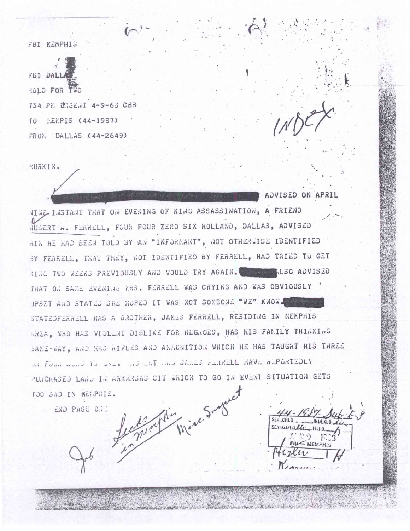FBI MEMPHIS

FBI DALL HOLD FOR TWO 734 PE UNGENT 4-9-63 CBB TO PENPIS (44-1937) FRON DALLAS (44-2649)

MURKIN.

ADVISED ON APRIL

MINE INSTANT THAT ON EVENING OF KING ASSASSINATION, A FRIEND RUBERT A. FERRELL, FOUR FOUR ZERO SIX HOLLAND, DALLAS, ADVISED HIN HE HAD BEEN TOLD BY AN "INFORMANT", NOT OTHERWISE IDENTIFIED BY FERRELL, THAT THEY, NOT IDENTIFIED BY FERRELL, HAD TRIED TO GET KING TWO WEEKS PREVIOUSLY AND WOULD TRY AGAIN. WE LESS ADVISED THAT ON SAME EVENING MRS. FERRELL WAS CRYING AND WAS OBVIOUSLY UPSET AND STATED SHE HOPED IT WAS NOT SOMEONE "WE" KNOW. STATEDFERRELL HAS A BROTHER, JAMES FERRELL, RESIDING IN MEMPHIS HREA, WHO HAS VIOLENT DISLIKE FOR NEGROES, HAS HIS FAMILY THINKING SANE-WAY, AND HAS WIFLES AND ANNUNITION WHICH HE HAS TAUGHT HIS THREE on Foundation over the one of the direct feather HAVE REPORTEDLY PURCHASED LAND IN ARKANSAS CIT WHICH TO GO IN EVENT SITUATION GETS Legislation Mine Surge TOO BAD IN MENPHIS.

END PAGE 0.12

 $, 9$  $=$ MEMFH

a professional more than the company